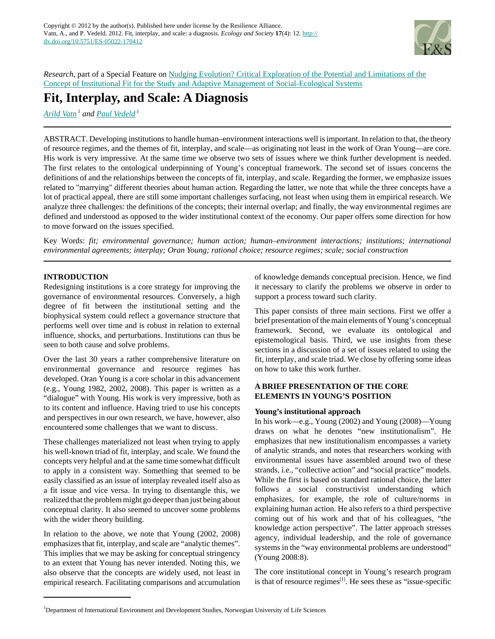

*Research*, part of a Special Feature on [Nudging Evolution? Critical Exploration of the Potential and Limitations of the](http://www.ecologyandsociety.org/viewissue.php?sf=70) [Concept of Institutional Fit for the Study and Adaptive Management of Social-Ecological Systems](http://www.ecologyandsociety.org/viewissue.php?sf=70)

# **Fit, Interplay, and Scale: A Diagnosis**

*[Arild Vatn](mailto:arild.vatn@umb.no)<sup>1</sup> and [Paul Vedeld](mailto:pal.vedeld@umb.no)<sup>1</sup>*

ABSTRACT. Developing institutions to handle human–environment interactions well is important. In relation to that, the theory of resource regimes, and the themes of fit, interplay, and scale—as originating not least in the work of Oran Young—are core. His work is very impressive. At the same time we observe two sets of issues where we think further development is needed. The first relates to the ontological underpinning of Young's conceptual framework. The second set of issues concerns the definitions of and the relationships between the concepts of fit, interplay, and scale. Regarding the former, we emphasize issues related to "marrying" different theories about human action. Regarding the latter, we note that while the three concepts have a lot of practical appeal, there are still some important challenges surfacing, not least when using them in empirical research. We analyze three challenges: the definitions of the concepts; their internal overlap; and finally, the way environmental regimes are defined and understood as opposed to the wider institutional context of the economy. Our paper offers some direction for how to move forward on the issues specified.

Key Words: *fit; environmental governance; human action; human–environment interactions; institutions; international environmental agreements; interplay; Oran Young; rational choice; resource regimes; scale; social construction*

# **INTRODUCTION**

Redesigning institutions is a core strategy for improving the governance of environmental resources. Conversely, a high degree of fit between the institutional setting and the biophysical system could reflect a governance structure that performs well over time and is robust in relation to external influence, shocks, and perturbations. Institutions can thus be seen to both cause and solve problems.

Over the last 30 years a rather comprehensive literature on environmental governance and resource regimes has developed. Oran Young is a core scholar in this advancement (e.g., Young 1982, 2002, 2008). This paper is written as a "dialogue" with Young. His work is very impressive, both as to its content and influence. Having tried to use his concepts and perspectives in our own research, we have, however, also encountered some challenges that we want to discuss.

These challenges materialized not least when trying to apply his well-known triad of fit, interplay, and scale. We found the concepts very helpful and at the same time somewhat difficult to apply in a consistent way. Something that seemed to be easily classified as an issue of interplay revealed itself also as a fit issue and vice versa. In trying to disentangle this, we realized that the problem might go deeper than just being about conceptual clarity. It also seemed to uncover some problems with the wider theory building.

In relation to the above, we note that Young (2002, 2008) emphasizes that fit, interplay, and scale are "analytic themes". This implies that we may be asking for conceptual stringency to an extent that Young has never intended. Noting this, we also observe that the concepts are widely used, not least in empirical research. Facilitating comparisons and accumulation of knowledge demands conceptual precision. Hence, we find it necessary to clarify the problems we observe in order to support a process toward such clarity.

This paper consists of three main sections. First we offer a brief presentation of the main elements of Young's conceptual framework. Second, we evaluate its ontological and epistemological basis. Third, we use insights from these sections in a discussion of a set of issues related to using the fit, interplay, and scale triad. We close by offering some ideas on how to take this work further.

## **A BRIEF PRESENTATION OF THE CORE ELEMENTS IN YOUNG'S POSITION**

## **Young's institutional approach**

In his work—e.g., Young (2002) and Young (2008)—Young draws on what he denotes "new institutionalism". He emphasizes that new institutionalism encompasses a variety of analytic strands, and notes that researchers working with environmental issues have assembled around two of these strands, i.e., "collective action" and "social practice" models. While the first is based on standard rational choice, the latter follows a social constructivist understanding which emphasizes, for example, the role of culture/norms in explaining human action. He also refers to a third perspective coming out of his work and that of his colleagues, "the knowledge action perspective". The latter approach stresses agency, individual leadership, and the role of governance systems in the "way environmental problems are understood" (Young 2008:8).

The core institutional concept in Young's research program is that of resource regimes $[1]$ . He sees these as "issue-specific

<sup>1</sup>Department of International Environment and Development Studies, Norwegian University of Life Sciences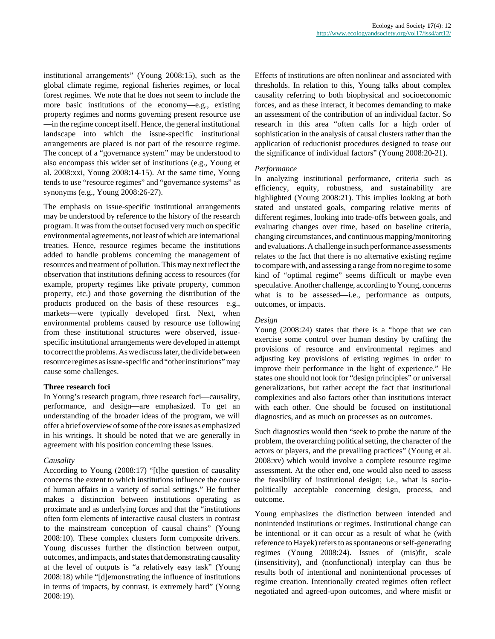institutional arrangements" (Young 2008:15), such as the global climate regime, regional fisheries regimes, or local forest regimes. We note that he does not seem to include the more basic institutions of the economy—e.g., existing property regimes and norms governing present resource use —in the regime concept itself. Hence, the general institutional landscape into which the issue-specific institutional arrangements are placed is not part of the resource regime. The concept of a "governance system" may be understood to also encompass this wider set of institutions (e.g., Young et al. 2008:xxi, Young 2008:14-15). At the same time, Young tends to use "resource regimes" and "governance systems" as synonyms (e.g., Young 2008:26-27).

The emphasis on issue-specific institutional arrangements may be understood by reference to the history of the research program. It was from the outset focused very much on specific environmental agreements, not least of which are international treaties. Hence, resource regimes became the institutions added to handle problems concerning the management of resources and treatment of pollution. This may next reflect the observation that institutions defining access to resources (for example, property regimes like private property, common property, etc.) and those governing the distribution of the products produced on the basis of these resources—e.g., markets—were typically developed first. Next, when environmental problems caused by resource use following from these institutional structures were observed, issuespecific institutional arrangements were developed in attempt to correct the problems. As we discuss later, the divide between resource regimes as issue-specific and "other institutions" may cause some challenges.

### **Three research foci**

In Young's research program, three research foci—causality, performance, and design—are emphasized. To get an understanding of the broader ideas of the program, we will offer a brief overview of some of the core issues as emphasized in his writings. It should be noted that we are generally in agreement with his position concerning these issues.

## *Causality*

According to Young (2008:17) "[t]he question of causality concerns the extent to which institutions influence the course of human affairs in a variety of social settings." He further makes a distinction between institutions operating as proximate and as underlying forces and that the "institutions often form elements of interactive causal clusters in contrast to the mainstream conception of causal chains" (Young 2008:10). These complex clusters form composite drivers. Young discusses further the distinction between output, outcomes, and impacts, and states that demonstrating causality at the level of outputs is "a relatively easy task" (Young 2008:18) while "[d]emonstrating the influence of institutions in terms of impacts, by contrast, is extremely hard" (Young 2008:19).

Effects of institutions are often nonlinear and associated with thresholds. In relation to this, Young talks about complex causality referring to both biophysical and socioeconomic forces, and as these interact, it becomes demanding to make an assessment of the contribution of an individual factor. So research in this area "often calls for a high order of sophistication in the analysis of causal clusters rather than the application of reductionist procedures designed to tease out the significance of individual factors" (Young 2008:20-21).

## *Performance*

In analyzing institutional performance, criteria such as efficiency, equity, robustness, and sustainability are highlighted (Young 2008:21). This implies looking at both stated and unstated goals, comparing relative merits of different regimes, looking into trade-offs between goals, and evaluating changes over time, based on baseline criteria, changing circumstances, and continuous mapping/monitoring and evaluations. A challenge in such performance assessments relates to the fact that there is no alternative existing regime to compare with, and assessing a range from no regime to some kind of "optimal regime" seems difficult or maybe even speculative. Another challenge, according to Young, concerns what is to be assessed—i.e., performance as outputs, outcomes, or impacts.

## *Design*

Young (2008:24) states that there is a "hope that we can exercise some control over human destiny by crafting the provisions of resource and environmental regimes and adjusting key provisions of existing regimes in order to improve their performance in the light of experience." He states one should not look for "design principles" or universal generalizations, but rather accept the fact that institutional complexities and also factors other than institutions interact with each other. One should be focused on institutional diagnostics, and as much on processes as on outcomes.

Such diagnostics would then "seek to probe the nature of the problem, the overarching political setting, the character of the actors or players, and the prevailing practices" (Young et al. 2008:xv) which would involve a complete resource regime assessment. At the other end, one would also need to assess the feasibility of institutional design; i.e., what is sociopolitically acceptable concerning design, process, and outcome.

Young emphasizes the distinction between intended and nonintended institutions or regimes. Institutional change can be intentional or it can occur as a result of what he (with reference to Hayek) refers to as spontaneous or self-generating regimes (Young 2008:24). Issues of (mis)fit, scale (insensitivity), and (nonfunctional) interplay can thus be results both of intentional and nonintentional processes of regime creation. Intentionally created regimes often reflect negotiated and agreed-upon outcomes, and where misfit or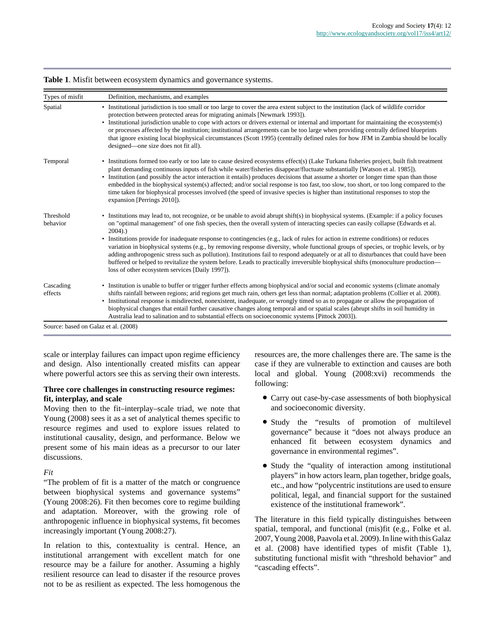| • Institutional jurisdiction is too small or too large to cover the area extent subject to the institution (lack of wildlife corridor<br>protection between protected areas for migrating animals [Newmark 1993]).<br>• Institutional jurisdiction unable to cope with actors or drivers external or internal and important for maintaining the ecosystem(s)<br>or processes affected by the institution; institutional arrangements can be too large when providing centrally defined blueprints<br>that ignore existing local biophysical circumstances (Scott 1995) (centrally defined rules for how JFM in Zambia should be locally<br>designed—one size does not fit all).                                                                                                                                                                                                                        |
|--------------------------------------------------------------------------------------------------------------------------------------------------------------------------------------------------------------------------------------------------------------------------------------------------------------------------------------------------------------------------------------------------------------------------------------------------------------------------------------------------------------------------------------------------------------------------------------------------------------------------------------------------------------------------------------------------------------------------------------------------------------------------------------------------------------------------------------------------------------------------------------------------------|
| • Institutions formed too early or too late to cause desired ecosystems effect(s) (Lake Turkana fisheries project, built fish treatment<br>plant demanding continuous inputs of fish while water/fisheries disappear/fluctuate substantially [Watson et al. 1985]).<br>• Institution (and possibly the actor interaction it entails) produces decisions that assume a shorter or longer time span than those<br>embedded in the biophysical system(s) affected; and/or social response is too fast, too slow, too short, or too long compared to the<br>time taken for biophysical processes involved (the speed of invasive species is higher than institutional responses to stop the<br>expansion [Perrings 2010]).                                                                                                                                                                                 |
| • Institutions may lead to, not recognize, or be unable to avoid abrupt shift(s) in biophysical systems. (Example: if a policy focuses<br>on "optimal management" of one fish species, then the overall system of interacting species can easily collapse (Edwards et al.<br>$2004)$ .)<br>• Institutions provide for inadequate response to contingencies (e.g., lack of rules for action in extreme conditions) or reduces<br>variation in biophysical systems (e.g., by removing response diversity, whole functional groups of species, or trophic levels, or by<br>adding anthropogenic stress such as pollution). Institutions fail to respond adequately or at all to disturbances that could have been<br>buffered or helped to revitalize the system before. Leads to practically irreversible biophysical shifts (monoculture production—<br>loss of other ecosystem services [Daily 1997]). |
| • Institution is unable to buffer or trigger further effects among biophysical and/or social and economic systems (climate anomaly<br>shifts rainfall between regions; arid regions get much rain, others get less than normal; adaptation problems (Collier et al. 2008).<br>• Institutional response is misdirected, nonexistent, inadequate, or wrongly timed so as to propagate or allow the propagation of<br>biophysical changes that entail further causative changes along temporal and or spatial scales (abrupt shifts in soil humidity in<br>Australia lead to salination and to substantial effects on socioeconomic systems [Pittock 2003]).                                                                                                                                                                                                                                              |
| Source: based on Galaz et al. (2008)                                                                                                                                                                                                                                                                                                                                                                                                                                                                                                                                                                                                                                                                                                                                                                                                                                                                   |

**Table 1**. Misfit between ecosystem dynamics and governance systems.

scale or interplay failures can impact upon regime efficiency and design. Also intentionally created misfits can appear where powerful actors see this as serving their own interests.

## **Three core challenges in constructing resource regimes: fit, interplay, and scale**

Moving then to the fit–interplay–scale triad, we note that Young (2008) sees it as a set of analytical themes specific to resource regimes and used to explore issues related to institutional causality, design, and performance. Below we present some of his main ideas as a precursor to our later discussions.

### *Fit*

"The problem of fit is a matter of the match or congruence between biophysical systems and governance systems" (Young 2008:26). Fit then becomes core to regime building and adaptation. Moreover, with the growing role of anthropogenic influence in biophysical systems, fit becomes increasingly important (Young 2008:27).

In relation to this, contextuality is central. Hence, an institutional arrangement with excellent match for one resource may be a failure for another. Assuming a highly resilient resource can lead to disaster if the resource proves not to be as resilient as expected. The less homogenous the resources are, the more challenges there are. The same is the case if they are vulnerable to extinction and causes are both local and global. Young (2008:xvi) recommends the following:

- Carry out case-by-case assessments of both biophysical and socioeconomic diversity.
- Study the "results of promotion of multilevel governance" because it "does not always produce an enhanced fit between ecosystem dynamics and governance in environmental regimes".
- Study the "quality of interaction among institutional players" in how actors learn, plan together, bridge goals, etc., and how "polycentric institutions are used to ensure political, legal, and financial support for the sustained existence of the institutional framework".

The literature in this field typically distinguishes between spatial, temporal, and functional (mis)fit (e.g., Folke et al. 2007, Young 2008, Paavola et al. 2009). In line with this Galaz et al. (2008) have identified types of misfit (Table 1), substituting functional misfit with "threshold behavior" and "cascading effects".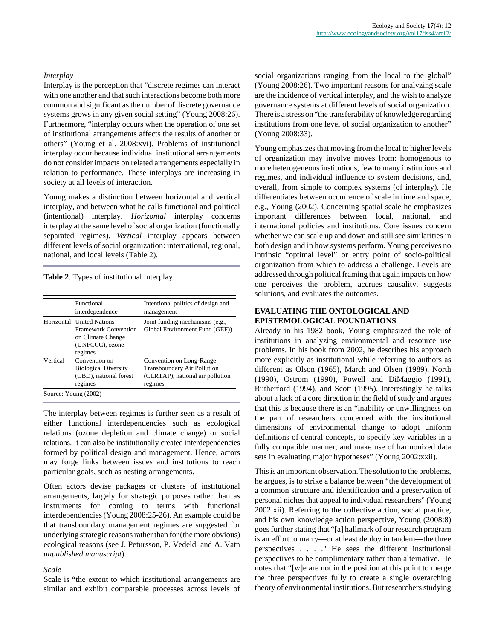#### *Interplay*

Interplay is the perception that "discrete regimes can interact with one another and that such interactions become both more common and significant as the number of discrete governance systems grows in any given social setting" (Young 2008:26). Furthermore, "interplay occurs when the operation of one set of institutional arrangements affects the results of another or others" (Young et al. 2008:xvi). Problems of institutional interplay occur because individual institutional arrangements do not consider impacts on related arrangements especially in relation to performance. These interplays are increasing in society at all levels of interaction.

Young makes a distinction between horizontal and vertical interplay, and between what he calls functional and political (intentional) interplay. *Horizontal* interplay concerns interplay at the same level of social organization (functionally separated regimes). *Vertical* interplay appears between different levels of social organization: international, regional, national, and local levels (Table 2).

**Table 2**. Types of institutional interplay.

|          | Functional<br>interdependence                                                                               | Intentional politics of design and<br>management                                                       |
|----------|-------------------------------------------------------------------------------------------------------------|--------------------------------------------------------------------------------------------------------|
|          | Horizontal United Nations<br><b>Framework Convention</b><br>on Climate Change<br>(UNFCCC), ozone<br>regimes | Joint funding mechanisms (e.g.,<br>Global Environment Fund (GEF))                                      |
| Vertical | Convention on<br><b>Biological Diversity</b><br>(CBD), national forest<br>regimes                           | Convention on Long-Range<br>Transboundary Air Pollution<br>(CLRTAP), national air pollution<br>regimes |

The interplay between regimes is further seen as a result of either functional interdependencies such as ecological relations (ozone depletion and climate change) or social relations. It can also be institutionally created interdependencies formed by political design and management. Hence, actors may forge links between issues and institutions to reach particular goals, such as nesting arrangements.

Often actors devise packages or clusters of institutional arrangements, largely for strategic purposes rather than as instruments for coming to terms with functional interdependencies (Young 2008:25-26). An example could be that transboundary management regimes are suggested for underlying strategic reasons rather than for (the more obvious) ecological reasons (see J. Petursson, P. Vedeld, and A. Vatn *unpublished manuscript*).

#### *Scale*

Scale is "the extent to which institutional arrangements are similar and exhibit comparable processes across levels of social organizations ranging from the local to the global" (Young 2008:26). Two important reasons for analyzing scale are the incidence of vertical interplay, and the wish to analyze governance systems at different levels of social organization. There is a stress on "the transferability of knowledge regarding institutions from one level of social organization to another" (Young 2008:33).

Young emphasizes that moving from the local to higher levels of organization may involve moves from: homogenous to more heterogeneous institutions, few to many institutions and regimes, and individual influence to system decisions, and, overall, from simple to complex systems (of interplay). He differentiates between occurrence of scale in time and space, e.g., Young (2002). Concerning spatial scale he emphasizes important differences between local, national, and international policies and institutions. Core issues concern whether we can scale up and down and still see similarities in both design and in how systems perform. Young perceives no intrinsic "optimal level" or entry point of socio-political organization from which to address a challenge. Levels are addressed through political framing that again impacts on how one perceives the problem, accrues causality, suggests solutions, and evaluates the outcomes.

## **EVALUATING THE ONTOLOGICAL AND EPISTEMOLOGICAL FOUNDATIONS**

Already in his 1982 book, Young emphasized the role of institutions in analyzing environmental and resource use problems. In his book from 2002, he describes his approach more explicitly as institutional while referring to authors as different as Olson (1965), March and Olsen (1989), North (1990), Ostrom (1990), Powell and DiMaggio (1991), Rutherford (1994), and Scott (1995). Interestingly he talks about a lack of a core direction in the field of study and argues that this is because there is an "inability or unwillingness on the part of researchers concerned with the institutional dimensions of environmental change to adopt uniform definitions of central concepts, to specify key variables in a fully compatible manner, and make use of harmonized data sets in evaluating major hypotheses" (Young 2002:xxii).

This is an important observation. The solution to the problems, he argues, is to strike a balance between "the development of a common structure and identification and a preservation of personal niches that appeal to individual researchers" (Young 2002:xii). Referring to the collective action, social practice, and his own knowledge action perspective, Young (2008:8) goes further stating that "[a] hallmark of our research program is an effort to marry—or at least deploy in tandem—the three perspectives . . . ." He sees the different institutional perspectives to be complimentary rather than alternative. He notes that "[w]e are not in the position at this point to merge the three perspectives fully to create a single overarching theory of environmental institutions. But researchers studying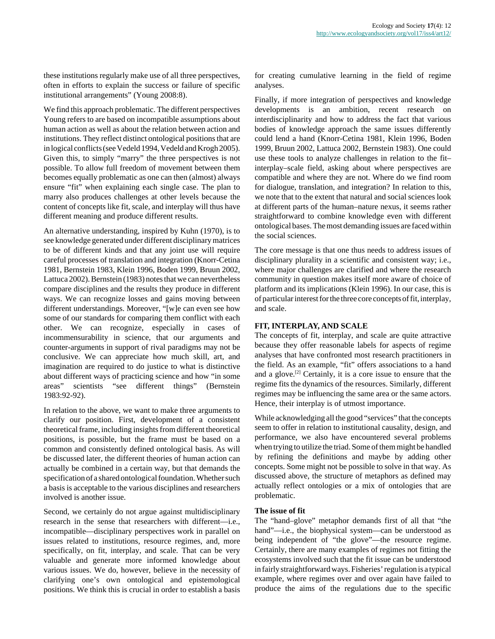these institutions regularly make use of all three perspectives, often in efforts to explain the success or failure of specific institutional arrangements" (Young 2008:8).

We find this approach problematic. The different perspectives Young refers to are based on incompatible assumptions about human action as well as about the relation between action and institutions. They reflect distinct ontological positions that are in logical conflicts (see Vedeld 1994, Vedeld and Krogh 2005). Given this, to simply "marry" the three perspectives is not possible. To allow full freedom of movement between them becomes equally problematic as one can then (almost) always ensure "fit" when explaining each single case. The plan to marry also produces challenges at other levels because the content of concepts like fit, scale, and interplay will thus have different meaning and produce different results.

An alternative understanding, inspired by Kuhn (1970), is to see knowledge generated under different disciplinary matrices to be of different kinds and that any joint use will require careful processes of translation and integration (Knorr-Cetina 1981, Bernstein 1983, Klein 1996, Boden 1999, Bruun 2002, Lattuca 2002). Bernstein (1983) notes that we can nevertheless compare disciplines and the results they produce in different ways. We can recognize losses and gains moving between different understandings. Moreover, "[w]e can even see how some of our standards for comparing them conflict with each other. We can recognize, especially in cases of incommensurability in science, that our arguments and counter-arguments in support of rival paradigms may not be conclusive. We can appreciate how much skill, art, and imagination are required to do justice to what is distinctive about different ways of practicing science and how "in some areas" scientists "see different things" (Bernstein 1983:92-92).

In relation to the above, we want to make three arguments to clarify our position. First, development of a consistent theoretical frame, including insights from different theoretical positions, is possible, but the frame must be based on a common and consistently defined ontological basis. As will be discussed later, the different theories of human action can actually be combined in a certain way, but that demands the specification of a shared ontological foundation. Whether such a basis is acceptable to the various disciplines and researchers involved is another issue.

Second, we certainly do not argue against multidisciplinary research in the sense that researchers with different—i.e., incompatible—disciplinary perspectives work in parallel on issues related to institutions, resource regimes, and, more specifically, on fit, interplay, and scale. That can be very valuable and generate more informed knowledge about various issues. We do, however, believe in the necessity of clarifying one's own ontological and epistemological positions. We think this is crucial in order to establish a basis for creating cumulative learning in the field of regime analyses.

Finally, if more integration of perspectives and knowledge developments is an ambition, recent research on interdisciplinarity and how to address the fact that various bodies of knowledge approach the same issues differently could lend a hand (Knorr-Cetina 1981, Klein 1996, Boden 1999, Bruun 2002, Lattuca 2002, Bernstein 1983). One could use these tools to analyze challenges in relation to the fit– interplay–scale field, asking about where perspectives are compatible and where they are not. Where do we find room for dialogue, translation, and integration? In relation to this, we note that to the extent that natural and social sciences look at different parts of the human–nature nexus, it seems rather straightforward to combine knowledge even with different ontological bases. The most demanding issues are faced within the social sciences.

The core message is that one thus needs to address issues of disciplinary plurality in a scientific and consistent way; i.e., where major challenges are clarified and where the research community in question makes itself more aware of choice of platform and its implications (Klein 1996). In our case, this is of particular interest for the three core concepts of fit, interplay, and scale.

## **FIT, INTERPLAY, AND SCALE**

The concepts of fit, interplay, and scale are quite attractive because they offer reasonable labels for aspects of regime analyses that have confronted most research practitioners in the field. As an example, "fit" offers associations to a hand and a glove.<sup>[2]</sup> Certainly, it is a core issue to ensure that the regime fits the dynamics of the resources. Similarly, different regimes may be influencing the same area or the same actors. Hence, their interplay is of utmost importance.

While acknowledging all the good "services" that the concepts seem to offer in relation to institutional causality, design, and performance, we also have encountered several problems when trying to utilize the triad. Some of them might be handled by refining the definitions and maybe by adding other concepts. Some might not be possible to solve in that way. As discussed above, the structure of metaphors as defined may actually reflect ontologies or a mix of ontologies that are problematic.

### **The issue of fit**

The "hand–glove" metaphor demands first of all that "the hand"—i.e., the biophysical system—can be understood as being independent of "the glove"—the resource regime. Certainly, there are many examples of regimes not fitting the ecosystems involved such that the fit issue can be understood in fairly straightforward ways. Fisheries' regulation is a typical example, where regimes over and over again have failed to produce the aims of the regulations due to the specific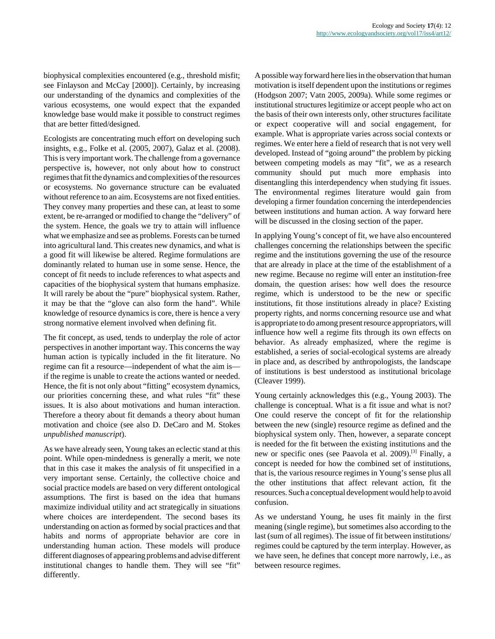biophysical complexities encountered (e.g., threshold misfit; see Finlayson and McCay [2000]). Certainly, by increasing our understanding of the dynamics and complexities of the various ecosystems, one would expect that the expanded knowledge base would make it possible to construct regimes that are better fitted/designed.

Ecologists are concentrating much effort on developing such insights, e.g., Folke et al. (2005, 2007), Galaz et al. (2008). This is very important work. The challenge from a governance perspective is, however, not only about how to construct regimes that fit the dynamics and complexities of the resources or ecosystems. No governance structure can be evaluated without reference to an aim. Ecosystems are not fixed entities. They convey many properties and these can, at least to some extent, be re-arranged or modified to change the "delivery" of the system. Hence, the goals we try to attain will influence what we emphasize and see as problems. Forests can be turned into agricultural land. This creates new dynamics, and what is a good fit will likewise be altered. Regime formulations are dominantly related to human use in some sense. Hence, the concept of fit needs to include references to what aspects and capacities of the biophysical system that humans emphasize. It will rarely be about the "pure" biophysical system. Rather, it may be that the "glove can also form the hand". While knowledge of resource dynamics is core, there is hence a very strong normative element involved when defining fit.

The fit concept, as used, tends to underplay the role of actor perspectives in another important way. This concerns the way human action is typically included in the fit literature. No regime can fit a resource—independent of what the aim is if the regime is unable to create the actions wanted or needed. Hence, the fit is not only about "fitting" ecosystem dynamics, our priorities concerning these, and what rules "fit" these issues. It is also about motivations and human interaction. Therefore a theory about fit demands a theory about human motivation and choice (see also D. DeCaro and M. Stokes *unpublished manuscript*).

As we have already seen, Young takes an eclectic stand at this point. While open-mindedness is generally a merit, we note that in this case it makes the analysis of fit unspecified in a very important sense. Certainly, the collective choice and social practice models are based on very different ontological assumptions. The first is based on the idea that humans maximize individual utility and act strategically in situations where choices are interdependent. The second bases its understanding on action as formed by social practices and that habits and norms of appropriate behavior are core in understanding human action. These models will produce different diagnoses of appearing problems and advise different institutional changes to handle them. They will see "fit" differently.

A possible way forward here lies in the observation that human motivation is itself dependent upon the institutions or regimes (Hodgson 2007; Vatn 2005, 2009a). While some regimes or institutional structures legitimize or accept people who act on the basis of their own interests only, other structures facilitate or expect cooperative will and social engagement, for example. What is appropriate varies across social contexts or regimes. We enter here a field of research that is not very well developed. Instead of "going around" the problem by picking between competing models as may "fit", we as a research community should put much more emphasis into disentangling this interdependency when studying fit issues. The environmental regimes literature would gain from developing a firmer foundation concerning the interdependencies between institutions and human action. A way forward here will be discussed in the closing section of the paper.

In applying Young's concept of fit, we have also encountered challenges concerning the relationships between the specific regime and the institutions governing the use of the resource that are already in place at the time of the establishment of a new regime. Because no regime will enter an institution-free domain, the question arises: how well does the resource regime, which is understood to be the new or specific institutions, fit those institutions already in place? Existing property rights, and norms concerning resource use and what is appropriate to do among present resource appropriators, will influence how well a regime fits through its own effects on behavior. As already emphasized, where the regime is established, a series of social-ecological systems are already in place and, as described by anthropologists, the landscape of institutions is best understood as institutional bricolage (Cleaver 1999).

Young certainly acknowledges this (e.g., Young 2003). The challenge is conceptual. What is a fit issue and what is not? One could reserve the concept of fit for the relationship between the new (single) resource regime as defined and the biophysical system only. Then, however, a separate concept is needed for the fit between the existing institutions and the new or specific ones (see Paavola et al. 2009).<sup>[3]</sup> Finally, a concept is needed for how the combined set of institutions, that is, the various resource regimes in Young's sense plus all the other institutions that affect relevant action, fit the resources. Such a conceptual development would help to avoid confusion.

As we understand Young, he uses fit mainly in the first meaning (single regime), but sometimes also according to the last (sum of all regimes). The issue of fit between institutions/ regimes could be captured by the term interplay. However, as we have seen, he defines that concept more narrowly, i.e., as between resource regimes.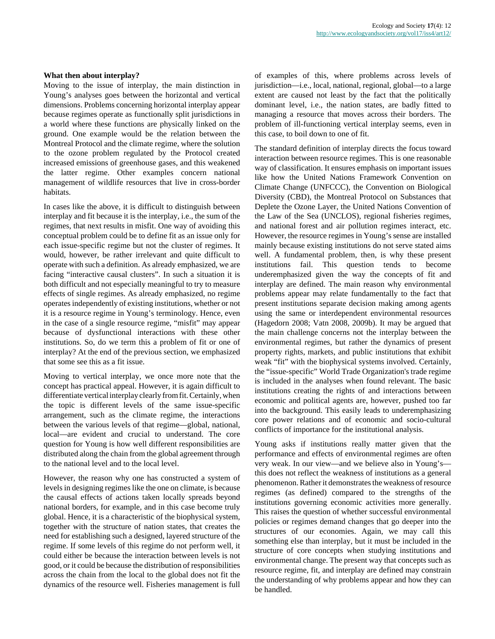#### **What then about interplay?**

Moving to the issue of interplay, the main distinction in Young's analyses goes between the horizontal and vertical dimensions. Problems concerning horizontal interplay appear because regimes operate as functionally split jurisdictions in a world where these functions are physically linked on the ground. One example would be the relation between the Montreal Protocol and the climate regime, where the solution to the ozone problem regulated by the Protocol created increased emissions of greenhouse gases, and this weakened the latter regime. Other examples concern national management of wildlife resources that live in cross-border habitats.

In cases like the above, it is difficult to distinguish between interplay and fit because it is the interplay, i.e., the sum of the regimes, that next results in misfit. One way of avoiding this conceptual problem could be to define fit as an issue only for each issue-specific regime but not the cluster of regimes. It would, however, be rather irrelevant and quite difficult to operate with such a definition. As already emphasized, we are facing "interactive causal clusters". In such a situation it is both difficult and not especially meaningful to try to measure effects of single regimes. As already emphasized, no regime operates independently of existing institutions, whether or not it is a resource regime in Young's terminology. Hence, even in the case of a single resource regime, "misfit" may appear because of dysfunctional interactions with these other institutions. So, do we term this a problem of fit or one of interplay? At the end of the previous section, we emphasized that some see this as a fit issue.

Moving to vertical interplay, we once more note that the concept has practical appeal. However, it is again difficult to differentiate vertical interplay clearly from fit. Certainly, when the topic is different levels of the same issue-specific arrangement, such as the climate regime, the interactions between the various levels of that regime—global, national, local—are evident and crucial to understand. The core question for Young is how well different responsibilities are distributed along the chain from the global agreement through to the national level and to the local level.

However, the reason why one has constructed a system of levels in designing regimes like the one on climate, is because the causal effects of actions taken locally spreads beyond national borders, for example, and in this case become truly global. Hence, it is a characteristic of the biophysical system, together with the structure of nation states, that creates the need for establishing such a designed, layered structure of the regime. If some levels of this regime do not perform well, it could either be because the interaction between levels is not good, or it could be because the distribution of responsibilities across the chain from the local to the global does not fit the dynamics of the resource well. Fisheries management is full of examples of this, where problems across levels of jurisdiction—i.e., local, national, regional, global—to a large extent are caused not least by the fact that the politically dominant level, i.e., the nation states, are badly fitted to managing a resource that moves across their borders. The problem of ill-functioning vertical interplay seems, even in this case, to boil down to one of fit.

The standard definition of interplay directs the focus toward interaction between resource regimes. This is one reasonable way of classification. It ensures emphasis on important issues like how the United Nations Framework Convention on Climate Change (UNFCCC), the Convention on Biological Diversity (CBD), the Montreal Protocol on Substances that Deplete the Ozone Layer, the United Nations Convention of the Law of the Sea (UNCLOS), regional fisheries regimes, and national forest and air pollution regimes interact, etc. However, the resource regimes in Young's sense are installed mainly because existing institutions do not serve stated aims well. A fundamental problem, then, is why these present institutions fail. This question tends to become underemphasized given the way the concepts of fit and interplay are defined. The main reason why environmental problems appear may relate fundamentally to the fact that present institutions separate decision making among agents using the same or interdependent environmental resources (Hagedorn 2008; Vatn 2008, 2009b). It may be argued that the main challenge concerns not the interplay between the environmental regimes, but rather the dynamics of present property rights, markets, and public institutions that exhibit weak "fit" with the biophysical systems involved. Certainly, the "issue-specific" World Trade Organization's trade regime is included in the analyses when found relevant. The basic institutions creating the rights of and interactions between economic and political agents are, however, pushed too far into the background. This easily leads to underemphasizing core power relations and of economic and socio-cultural conflicts of importance for the institutional analysis.

Young asks if institutions really matter given that the performance and effects of environmental regimes are often very weak. In our view—and we believe also in Young's this does not reflect the weakness of institutions as a general phenomenon. Rather it demonstrates the weakness of resource regimes (as defined) compared to the strengths of the institutions governing economic activities more generally. This raises the question of whether successful environmental policies or regimes demand changes that go deeper into the structures of our economies. Again, we may call this something else than interplay, but it must be included in the structure of core concepts when studying institutions and environmental change. The present way that concepts such as resource regime, fit, and interplay are defined may constrain the understanding of why problems appear and how they can be handled.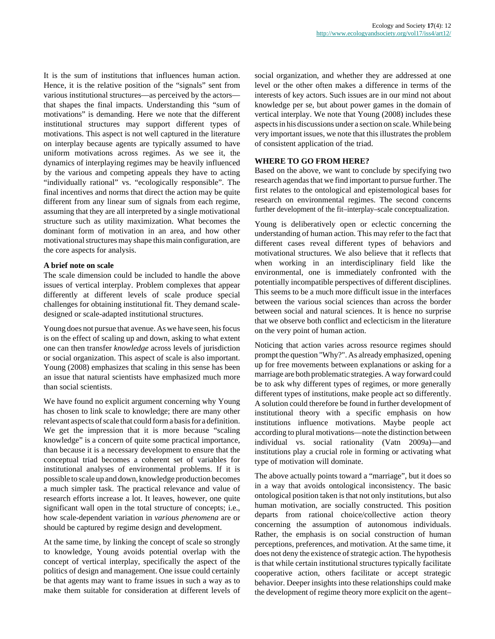It is the sum of institutions that influences human action. Hence, it is the relative position of the "signals" sent from various institutional structures—as perceived by the actors that shapes the final impacts. Understanding this "sum of motivations" is demanding. Here we note that the different institutional structures may support different types of motivations. This aspect is not well captured in the literature on interplay because agents are typically assumed to have uniform motivations across regimes. As we see it, the dynamics of interplaying regimes may be heavily influenced by the various and competing appeals they have to acting "individually rational" vs. "ecologically responsible". The final incentives and norms that direct the action may be quite different from any linear sum of signals from each regime, assuming that they are all interpreted by a single motivational structure such as utility maximization. What becomes the dominant form of motivation in an area, and how other motivational structures may shape this main configuration, are the core aspects for analysis.

## **A brief note on scale**

The scale dimension could be included to handle the above issues of vertical interplay. Problem complexes that appear differently at different levels of scale produce special challenges for obtaining institutional fit. They demand scaledesigned or scale-adapted institutional structures.

Young does not pursue that avenue. As we have seen, his focus is on the effect of scaling up and down, asking to what extent one can then transfer *knowledge* across levels of jurisdiction or social organization. This aspect of scale is also important. Young (2008) emphasizes that scaling in this sense has been an issue that natural scientists have emphasized much more than social scientists.

We have found no explicit argument concerning why Young has chosen to link scale to knowledge; there are many other relevant aspects of scale that could form a basis for a definition. We get the impression that it is more because "scaling knowledge" is a concern of quite some practical importance, than because it is a necessary development to ensure that the conceptual triad becomes a coherent set of variables for institutional analyses of environmental problems. If it is possible to scale up and down, knowledge production becomes a much simpler task. The practical relevance and value of research efforts increase a lot. It leaves, however, one quite significant wall open in the total structure of concepts; i.e., how scale-dependent variation in *various phenomena* are or should be captured by regime design and development.

At the same time, by linking the concept of scale so strongly to knowledge, Young avoids potential overlap with the concept of vertical interplay, specifically the aspect of the politics of design and management. One issue could certainly be that agents may want to frame issues in such a way as to make them suitable for consideration at different levels of social organization, and whether they are addressed at one level or the other often makes a difference in terms of the interests of key actors. Such issues are in our mind not about knowledge per se, but about power games in the domain of vertical interplay. We note that Young (2008) includes these aspects in his discussions under a section on scale. While being very important issues, we note that this illustrates the problem of consistent application of the triad.

## **WHERE TO GO FROM HERE?**

Based on the above, we want to conclude by specifying two research agendas that we find important to pursue further. The first relates to the ontological and epistemological bases for research on environmental regimes. The second concerns further development of the fit–interplay–scale conceptualization.

Young is deliberatively open or eclectic concerning the understanding of human action. This may refer to the fact that different cases reveal different types of behaviors and motivational structures. We also believe that it reflects that when working in an interdisciplinary field like the environmental, one is immediately confronted with the potentially incompatible perspectives of different disciplines. This seems to be a much more difficult issue in the interfaces between the various social sciences than across the border between social and natural sciences. It is hence no surprise that we observe both conflict and eclecticism in the literature on the very point of human action.

Noticing that action varies across resource regimes should prompt the question "Why?". As already emphasized, opening up for free movements between explanations or asking for a marriage are both problematic strategies. A way forward could be to ask why different types of regimes, or more generally different types of institutions, make people act so differently. A solution could therefore be found in further development of institutional theory with a specific emphasis on how institutions influence motivations. Maybe people act according to plural motivations—note the distinction between individual vs. social rationality (Vatn 2009a)—and institutions play a crucial role in forming or activating what type of motivation will dominate.

The above actually points toward a "marriage", but it does so in a way that avoids ontological inconsistency. The basic ontological position taken is that not only institutions, but also human motivation, are socially constructed. This position departs from rational choice/collective action theory concerning the assumption of autonomous individuals. Rather, the emphasis is on social construction of human perceptions, preferences, and motivation. At the same time, it does not deny the existence of strategic action. The hypothesis is that while certain institutional structures typically facilitate cooperative action, others facilitate or accept strategic behavior. Deeper insights into these relationships could make the development of regime theory more explicit on the agent–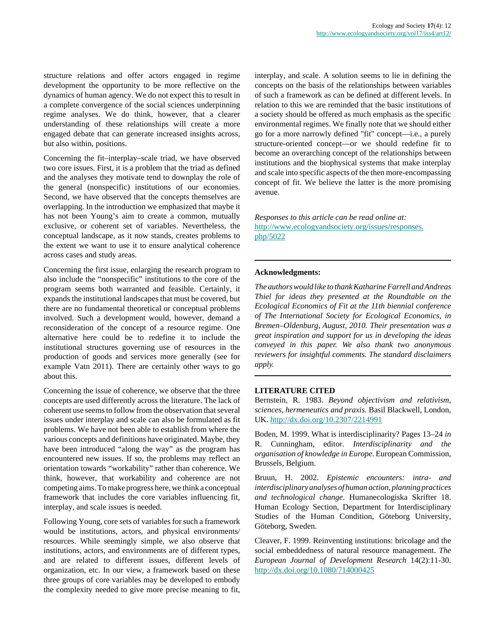structure relations and offer actors engaged in regime development the opportunity to be more reflective on the dynamics of human agency. We do not expect this to result in a complete convergence of the social sciences underpinning regime analyses. We do think, however, that a clearer understanding of these relationships will create a more engaged debate that can generate increased insights across, but also within, positions.

Concerning the fit–interplay–scale triad, we have observed two core issues. First, it is a problem that the triad as defined and the analyses they motivate tend to downplay the role of the general (nonspecific) institutions of our economies. Second, we have observed that the concepts themselves are overlapping. In the introduction we emphasized that maybe it has not been Young's aim to create a common, mutually exclusive, or coherent set of variables. Nevertheless, the conceptual landscape, as it now stands, creates problems to the extent we want to use it to ensure analytical coherence across cases and study areas.

Concerning the first issue, enlarging the research program to also include the "nonspecific" institutions to the core of the program seems both warranted and feasible. Certainly, it expands the institutional landscapes that must be covered, but there are no fundamental theoretical or conceptual problems involved. Such a development would, however, demand a reconsideration of the concept of a resource regime. One alternative here could be to redefine it to include the institutional structures governing use of resources in the production of goods and services more generally (see for example Vatn 2011). There are certainly other ways to go about this.

Concerning the issue of coherence, we observe that the three concepts are used differently across the literature. The lack of coherent use seems to follow from the observation that several issues under interplay and scale can also be formulated as fit problems. We have not been able to establish from where the various concepts and definitions have originated. Maybe, they have been introduced "along the way" as the program has encountered new issues. If so, the problems may reflect an orientation towards "workability" rather than coherence. We think, however, that workability and coherence are not competing aims. To make progress here, we think a conceptual framework that includes the core variables influencing fit, interplay, and scale issues is needed.

Following Young, core sets of variables for such a framework would be institutions, actors, and physical environments/ resources. While seemingly simple, we also observe that institutions, actors, and environments are of different types, and are related to different issues, different levels of organization, etc. In our view, a framework based on these three groups of core variables may be developed to embody the complexity needed to give more precise meaning to fit, interplay, and scale. A solution seems to lie in defining the concepts on the basis of the relationships between variables of such a framework as can be defined at different levels. In relation to this we are reminded that the basic institutions of a society should be offered as much emphasis as the specific environmental regimes. We finally note that we should either go for a more narrowly defined "fit" concept—i.e., a purely structure-oriented concept—or we should redefine fit to become an overarching concept of the relationships between institutions and the biophysical systems that make interplay and scale into specific aspects of the then more-encompassing concept of fit. We believe the latter is the more promising avenue.

*Responses to this article can be read online at:* [http://www.ecologyandsociety.org/issues/responses.](http://www.ecologyandsociety.org/issues/responses.php/5022) [php/5022](http://www.ecologyandsociety.org/issues/responses.php/5022)

### **Acknowledgments:**

*The authors would like to thank Katharine Farrell and Andreas Thiel for ideas they presented at the Roundtable on the Ecological Economics of Fit at the 11th biennial conference of The International Society for Ecological Economics, in Bremen–Oldenburg, August, 2010. Their presentation was a great inspiration and support for us in developing the ideas conveyed in this paper. We also thank two anonymous reviewers for insightful comments. The standard disclaimers apply.*

#### **LITERATURE CITED**

Bernstein, R. 1983. *Beyond objectivism and relativism, sciences, hermeneutics and praxis*. Basil Blackwell, London, UK.<http://dx.doi.org/10.2307/2214991>

Boden, M. 1999. What is interdisciplinarity? Pages 13–24 *in* R. Cunningham, editor. *Interdisciplinarity and the organisation of knowledge in Europe*. European Commission, Brussels, Belgium.

Bruun, H. 2002. *Epistemic encounters: intra- and interdisciplinary analyses of human action, planning practices and technological change*. Humanecologiska Skrifter 18. Human Ecology Section, Department for Interdisciplinary Studies of the Human Condition, Göteborg University, Göteborg, Sweden.

Cleaver, F. 1999. Reinventing institutions: bricolage and the social embeddedness of natural resource management. *The European Journal of Development Research* 14(2):11-30. <http://dx.doi.org/10.1080/714000425>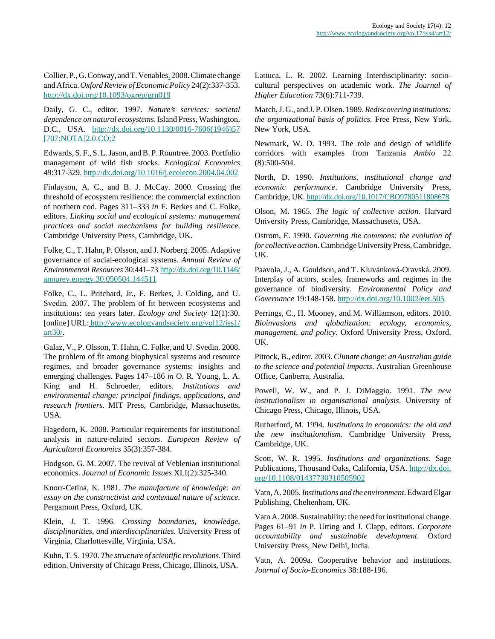Collier, P., G. Conway, and T. Venable[s.](http://oxrep.oxfordjournals.org/search?author1=Tony+Venables&sortspec=date&submit=Submit) 2008. Climate change and Africa. *Oxford Review of Economic Policy* 24(2):337-353. <http://dx.doi.org/10.1093/oxrep/grn019>

Daily, G. C., editor. 1997. *Nature's services: societal dependence on natural ecosystems*. Island Press, Washington, D.C., USA. [http://dx.doi.org/10.1130/0016-7606\(1946\)57](http://dx.doi.org/10.1130/0016-7606(1946)57[707:NOTA]2.0.CO;2) [\[707:NOTA\]2.0.CO;2](http://dx.doi.org/10.1130/0016-7606(1946)57[707:NOTA]2.0.CO;2)

Edwards, S. F., S. L. Jason, and B. P. Rountree. 2003. Portfolio management of wild fish stocks. *Ecological Economics* 49:317-329. <http://dx.doi.org/10.1016/j.ecolecon.2004.04.002>

Finlayson, A. C., and B. J. McCay. 2000. Crossing the threshold of ecosystem resilience: the commercial extinction of northern cod. Pages 311–333 *in* F. Berkes and C. Folke, editors. *Linking social and ecological systems: management practices and social mechanisms for building resilience*. Cambridge University Press, Cambridge, UK.

Folke, C., T. Hahn, P. Olsson, and J. Norberg. 2005. Adaptive governance of social-ecological systems. *Annual Review of Environmental Resources* 30:441–73 [http://dx.doi.org/10.1146/](http://dx.doi.org/10.1146/annurev.energy.30.050504.144511) [annurev.energy.30.050504.144511](http://dx.doi.org/10.1146/annurev.energy.30.050504.144511)

Folke, C., L. Pritchard, Jr., F. Berkes, J. Colding, and U. Svedin. 2007. The problem of fit between ecosystems and institutions: ten years later. *Ecology and Society* 12(1):30. [online] URL[: http://www.ecologyandsociety.org/vol12/iss1/](http://www.ecologyandsociety.org/vol12/iss1/art30/) [art30/](http://www.ecologyandsociety.org/vol12/iss1/art30/).

Galaz, V., P. Olsson, T. Hahn, C. Folke, and U. Svedin. 2008. The problem of fit among biophysical systems and resource regimes, and broader governance systems: insights and emerging challenges. Pages 147–186 *in* O. R. Young, L. A. King and H. Schroeder, editors. *Institutions and environmental change: principal findings, applications, and research frontiers*. MIT Press, Cambridge, Massachusetts, USA.

Hagedorn, K. 2008. Particular requirements for institutional analysis in nature-related sectors. *European Review of Agricultural Economics* 35(3):357-384.

Hodgson, G. M. 2007. The revival of Veblenian institutional economics. *Journal of Economic Issues* XLI(2):325-340.

Knorr-Cetina, K. 1981. *The manufacture of knowledge: an essay on the constructivist and contextual nature of science*. Pergamont Press, Oxford, UK.

Klein, J. T. 1996. *Crossing boundaries, knowledge, disciplinarities, and interdisciplinarities.* University Press of Virginia, Charlottesville, Virginia, USA.

Kuhn, T. S. 1970. *The structure of scientific revolutions*. Third edition. University of Chicago Press, Chicago, Illinois, USA.

Lattuca, L. R. 2002. Learning Interdisciplinarity: sociocultural perspectives on academic work. *The Journal of Higher Education* 73(6):711-739.

March, J. G., and J. P. Olsen. 1989. *Rediscovering institutions: the organizational basis of politics.* Free Press, New York, New York, USA.

Newmark, W. D. 1993. The role and design of wildlife corridors with examples from Tanzania *Ambio* 22 (8):500-504.

North, D. 1990. *Institutions, institutional change and economic performance*. Cambridge University Press, Cambridge, UK.<http://dx.doi.org/10.1017/CBO9780511808678>

Olson, M. 1965. *The logic of collective action*. Harvard University Press, Cambridge, Massachusetts, USA.

Ostrom, E. 1990. *Governing the commons: the evolution of for collective action*. Cambridge University Press, Cambridge, UK.

Paavola, J., A. Gouldson, and T. Kluvánková-Oravská. 2009. Interplay of actors, scales, frameworks and regimes in the governance of biodiversity. *Environmental Policy and Governance* 19:148-158.<http://dx.doi.org/10.1002/eet.505>

Perrings, C., H. Mooney, and M. Williamson, editors. 2010. *Bioinvasions and globalization: ecology, economics, management, and policy*. Oxford University Press, Oxford, UK.

Pittock, B., editor. 2003. *Climate change: an Australian guide to the science and potential impacts*. Australian Greenhouse Office, Canberra, Australia.

Powell, W. W., and P. J. DiMaggio. 1991. *The new institutionalism in organisational analysis*. University of Chicago Press, Chicago, Illinois, USA.

Rutherford, M. 1994. *Institutions in economics: the old and the new institutionalism*. Cambridge University Press, Cambridge, UK.

Scott, W. R. 1995. *Institutions and organizations*. Sage Publications, Thousand Oaks, California, USA. [http://dx.doi.](http://dx.doi.org/10.1108/01437730310505902) [org/10.1108/01437730310505902](http://dx.doi.org/10.1108/01437730310505902)

Vatn, A. 2005. *Institutions and the environment*. Edward Elgar Publishing, Cheltenham, UK.

Vatn A. 2008. Sustainability: the need for institutional change. Pages 61–91 *in* P. Utting and J. Clapp, editors. *Corporate accountability and sustainable development*. Oxford University Press, New Delhi, India.

Vatn, A. 2009a. Cooperative behavior and institutions. *Journal of Socio-Economics* 38:188-196.